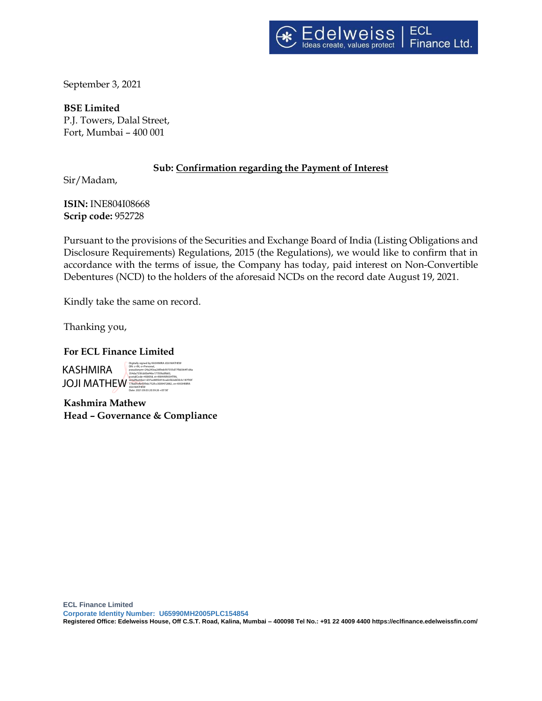

September 3, 2021

**BSE Limited** P.J. Towers, Dalal Street, Fort, Mumbai – 400 001

## **Sub: Confirmation regarding the Payment of Interest**

Sir/Madam,

**ISIN:** INE804I08668 **Scrip code:** 952728

Pursuant to the provisions of the Securities and Exchange Board of India (Listing Obligations and Disclosure Requirements) Regulations, 2015 (the Regulations), we would like to confirm that in accordance with the terms of issue, the Company has today, paid interest on Non-Convertible Debentures (NCD) to the holders of the aforesaid NCDs on the record date August 19, 2021.

Kindly take the same on record.

Thanking you,

### **For ECL Finance Limited**

KASHMIRA JOJI MATHEW Digitally signed by KASHMIRA JOJI MATHEW DN: c=IN, o=Personal, pseudonym=24a243ea26f9eb597355d77fb0364f1d6a 354da735fcb00ef46e17705fa0fb83, postalCode=400058, st=MAHARASHTRA, serialNumber=d37ac885b916cadcfd2ebf2b3c187f50f 178a05cfb43f9dc752fcc3009472882, cn=KASHMIRA JOJI MATHEW Date: 2021.09.03 20:39:26 +05'30'

**Kashmira Mathew Head – Governance & Compliance**